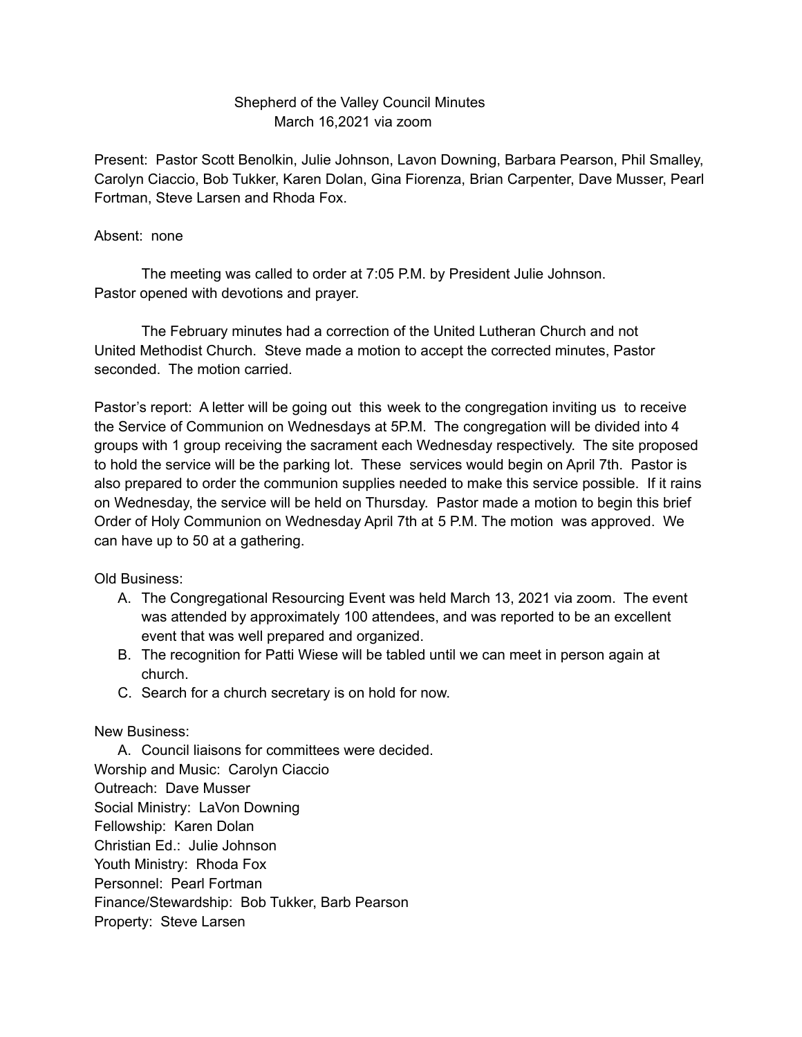## Shepherd of the Valley Council Minutes March 16,2021 via zoom

Present: Pastor Scott Benolkin, Julie Johnson, Lavon Downing, Barbara Pearson, Phil Smalley, Carolyn Ciaccio, Bob Tukker, Karen Dolan, Gina Fiorenza, Brian Carpenter, Dave Musser, Pearl Fortman, Steve Larsen and Rhoda Fox.

## Absent: none

The meeting was called to order at 7:05 P.M. by President Julie Johnson. Pastor opened with devotions and prayer.

The February minutes had a correction of the United Lutheran Church and not United Methodist Church. Steve made a motion to accept the corrected minutes, Pastor seconded. The motion carried.

Pastor's report: A letter will be going out this week to the congregation inviting us to receive the Service of Communion on Wednesdays at 5P.M. The congregation will be divided into 4 groups with 1 group receiving the sacrament each Wednesday respectively. The site proposed to hold the service will be the parking lot. These services would begin on April 7th. Pastor is also prepared to order the communion supplies needed to make this service possible. If it rains on Wednesday, the service will be held on Thursday. Pastor made a motion to begin this brief Order of Holy Communion on Wednesday April 7th at 5 P.M. The motion was approved. We can have up to 50 at a gathering.

Old Business:

- A. The Congregational Resourcing Event was held March 13, 2021 via zoom. The event was attended by approximately 100 attendees, and was reported to be an excellent event that was well prepared and organized.
- B. The recognition for Patti Wiese will be tabled until we can meet in person again at church.
- C. Search for a church secretary is on hold for now.

New Business:

A. Council liaisons for committees were decided. Worship and Music: Carolyn Ciaccio Outreach: Dave Musser Social Ministry: LaVon Downing Fellowship: Karen Dolan Christian Ed.: Julie Johnson Youth Ministry: Rhoda Fox Personnel: Pearl Fortman Finance/Stewardship: Bob Tukker, Barb Pearson Property: Steve Larsen